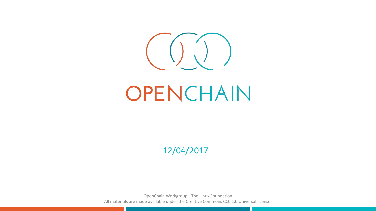

# OPENCHAIN

12/04/2017

OpenChain Workgroup - The Linux Foundation All materials are made available under the Creative Commons CC0 1.0 Universal license.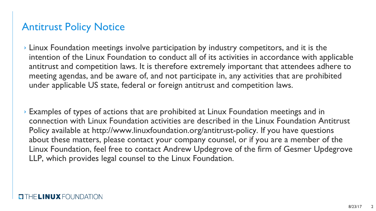#### Antitrust Policy Notice

- › Linux Foundation meetings involve participation by industry competitors, and it is the intention of the Linux Foundation to conduct all of its activities in accordance with applicable antitrust and competition laws. It is therefore extremely important that attendees adhere to meeting agendas, and be aware of, and not participate in, any activities that are prohibited under applicable US state, federal or foreign antitrust and competition laws.
- › Examples of types of actions that are prohibited at Linux Foundation meetings and in connection with Linux Foundation activities are described in the Linux Foundation Antitrust Policy available at http://www.linuxfoundation.org/antitrust-policy. If you have questions about these matters, please contact your company counsel, or if you are a member of the Linux Foundation, feel free to contact Andrew Updegrove of the firm of Gesmer Updegrove LLP, which provides legal counsel to the Linux Foundation.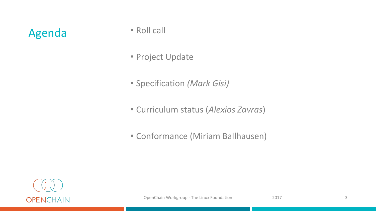### Agenda · Roll call

- 
- Project Update
- Specification *(Mark Gisi)*
- Curriculum status (*Alexios Zavras*)
- Conformance (Miriam Ballhausen)

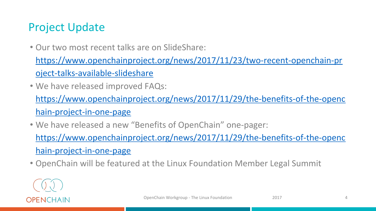#### Project Update

• Our two most recent talks are on SlideShare:

[https://www.openchainproject.org/news/2017/11/23/two-recent-openchain-pr](https://www.openchainproject.org/news/2017/11/23/two-recent-openchain-project-talks-available-slideshare) [oject-talks-available-slideshare](https://www.openchainproject.org/news/2017/11/23/two-recent-openchain-project-talks-available-slideshare)

• We have released improved FAQs:

[https://www.openchainproject.org/news/2017/11/29/the-benefits-of-the-openc](https://www.openchainproject.org/news/2017/11/29/the-benefits-of-the-openchain-project-in-one-page) [hain-project-in-one-page](https://www.openchainproject.org/news/2017/11/29/the-benefits-of-the-openchain-project-in-one-page)

• We have released a new "Benefits of OpenChain" one-pager:

[https://www.openchainproject.org/news/2017/11/29/the-benefits-of-the-openc](https://www.openchainproject.org/news/2017/11/29/the-benefits-of-the-openchain-project-in-one-page) [hain-project-in-one-page](https://www.openchainproject.org/news/2017/11/29/the-benefits-of-the-openchain-project-in-one-page)

• OpenChain will be featured at the Linux Foundation Member Legal Summit

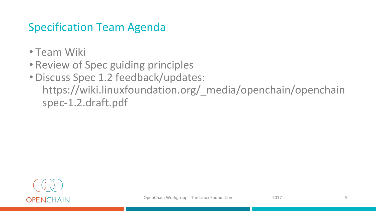#### Specification Team Agenda

- Team Wiki
- Review of Spec guiding principles
- Discuss Spec 1.2 feedback/updates: https://wiki.linuxfoundation.org/\_media/openchain/openchain spec-1.2.draft.pdf

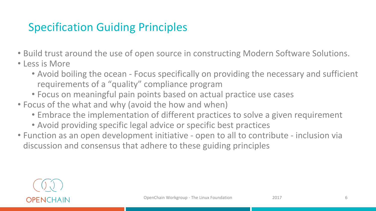#### Specification Guiding Principles

- Build trust around the use of open source in constructing Modern Software Solutions.
- Less is More
	- Avoid boiling the ocean Focus specifically on providing the necessary and sufficient requirements of a "quality" compliance program
	- Focus on meaningful pain points based on actual practice use cases
- Focus of the what and why (avoid the how and when)
	- Embrace the implementation of different practices to solve a given requirement
	- Avoid providing specific legal advice or specific best practices
- Function as an open development initiative open to all to contribute inclusion via discussion and consensus that adhere to these guiding principles

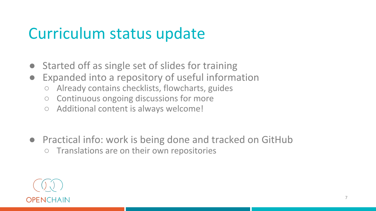### Curriculum status update

- Started off as single set of slides for training
- Expanded into a repository of useful information
	- Already contains checklists, flowcharts, guides
	- Continuous ongoing discussions for more
	- Additional content is always welcome!
- Practical info: work is being done and tracked on GitHub ○ Translations are on their own repositories

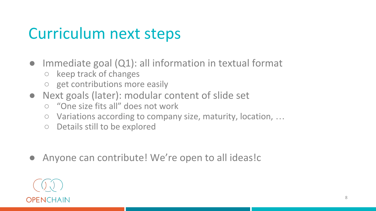### Curriculum next steps

- Immediate goal  $(Q1)$ : all information in textual format
	- keep track of changes
	- get contributions more easily
- Next goals (later): modular content of slide set
	- "One size fits all" does not work
	- Variations according to company size, maturity, location, ...
	- Details still to be explored
- Anyone can contribute! We're open to all ideas!c

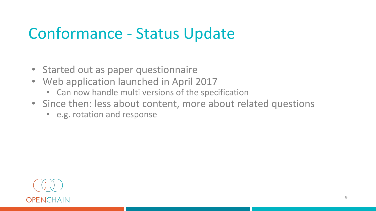### Conformance - Status Update

- Started out as paper questionnaire
- Web application launched in April 2017
	- Can now handle multi versions of the specification
- Since then: less about content, more about related questions
	- e.g. rotation and response

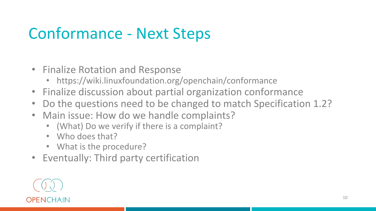## Conformance - Next Steps

- Finalize Rotation and Response
	- https://wiki.linuxfoundation.org/openchain/conformance
- Finalize discussion about partial organization conformance
- Do the questions need to be changed to match Specification 1.2?
- Main issue: How do we handle complaints?
	- (What) Do we verify if there is a complaint?
	- Who does that?
	- What is the procedure?
- Eventually: Third party certification